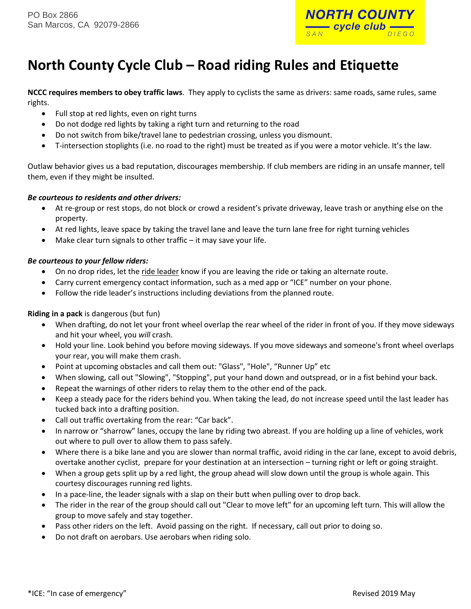

# **North County Cycle Club – Road riding Rules and Etiquette**

**NCCC requires members to obey traffic laws**. They apply to cyclists the same as drivers: same roads, same rules, same rights.

- Full stop at red lights, even on right turns
- Do not dodge red lights by taking a right turn and returning to the road
- Do not switch from bike/travel lane to pedestrian crossing, unless you dismount.
- T-intersection stoplights (i.e. no road to the right) must be treated as if you were a motor vehicle. It's the law.

Outlaw behavior gives us a bad reputation, discourages membership. If club members are riding in an unsafe manner, tell them, even if they might be insulted.

#### *Be courteous to residents and other drivers:*

- At re-group or rest stops, do not block or crowd a resident's private driveway, leave trash or anything else on the property.
- At red lights, leave space by taking the travel lane and leave the turn lane free for right turning vehicles
- Make clear turn signals to other traffic it may save your life.

#### *Be courteous to your fellow riders:*

- On no drop rides, let the ride leader know if you are leaving the ride or taking an alternate route.
- Carry current emergency contact information, such as a med app or "ICE" number on your phone.
- Follow the ride leader's instructions including deviations from the planned route.

#### **Riding in a pack** is dangerous (but fun)

- When drafting, do not let your front wheel overlap the rear wheel of the rider in front of you. If they move sideways and hit your wheel, you *will* crash.
- Hold your line. Look behind you before moving sideways. If you move sideways and someone's front wheel overlaps your rear, you will make them crash.
- Point at upcoming obstacles and call them out: "Glass", "Hole", "Runner Up" etc
- When slowing, call out "Slowing", "Stopping", put your hand down and outspread, or in a fist behind your back.
- Repeat the warnings of other riders to relay them to the other end of the pack.
- Keep a steady pace for the riders behind you. When taking the lead, do not increase speed until the last leader has tucked back into a drafting position.
- Call out traffic overtaking from the rear: "Car back".
- In narrow or "sharrow" lanes, occupy the lane by riding two abreast. If you are holding up a line of vehicles, work out where to pull over to allow them to pass safely.
- Where there is a bike lane and you are slower than normal traffic, avoid riding in the car lane, except to avoid debris, overtake another cyclist, prepare for your destination at an intersection – turning right or left or going straight.
- When a group gets split up by a red light, the group ahead will slow down until the group is whole again. This courtesy discourages running red lights.
- In a pace-line, the leader signals with a slap on their butt when pulling over to drop back.
- The rider in the rear of the group should call out "Clear to move left" for an upcoming left turn. This will allow the group to move safely and stay together.
- Pass other riders on the left. Avoid passing on the right. If necessary, call out prior to doing so.
- Do not draft on aerobars. Use aerobars when riding solo.